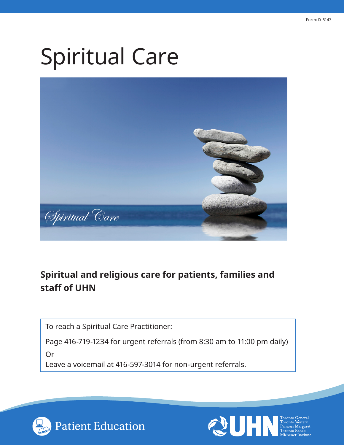# Spiritual Care



# **Spiritual and religious care for patients, families and staff of UHN**

To reach a Spiritual Care Practitioner:

Page 416-719-1234 for urgent referrals (from 8:30 am to 11:00 pm daily) Or

Leave a voicemail at 416-597-3014 for non-urgent referrals.



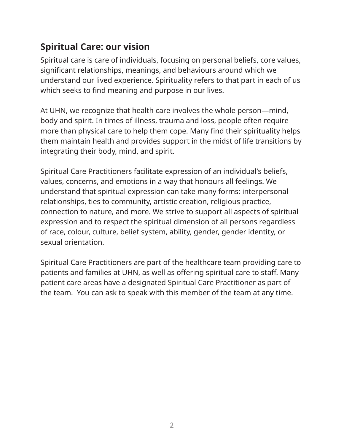# **Spiritual Care: our vision**

Spiritual care is care of individuals, focusing on personal beliefs, core values, significant relationships, meanings, and behaviours around which we understand our lived experience. Spirituality refers to that part in each of us which seeks to find meaning and purpose in our lives.

At UHN, we recognize that health care involves the whole person—mind, body and spirit. In times of illness, trauma and loss, people often require more than physical care to help them cope. Many find their spirituality helps them maintain health and provides support in the midst of life transitions by integrating their body, mind, and spirit.

Spiritual Care Practitioners facilitate expression of an individual's beliefs, values, concerns, and emotions in a way that honours all feelings. We understand that spiritual expression can take many forms: interpersonal relationships, ties to community, artistic creation, religious practice, connection to nature, and more. We strive to support all aspects of spiritual expression and to respect the spiritual dimension of all persons regardless of race, colour, culture, belief system, ability, gender, gender identity, or sexual orientation.

Spiritual Care Practitioners are part of the healthcare team providing care to patients and families at UHN, as well as offering spiritual care to staff. Many patient care areas have a designated Spiritual Care Practitioner as part of the team. You can ask to speak with this member of the team at any time.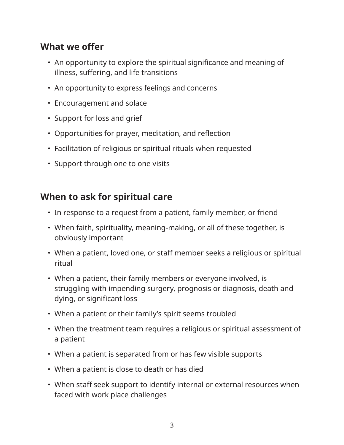## **What we offer**

- An opportunity to explore the spiritual significance and meaning of illness, suffering, and life transitions
- An opportunity to express feelings and concerns
- Encouragement and solace
- Support for loss and grief
- Opportunities for prayer, meditation, and reflection
- Facilitation of religious or spiritual rituals when requested
- Support through one to one visits

#### **When to ask for spiritual care**

- In response to a request from a patient, family member, or friend
- When faith, spirituality, meaning-making, or all of these together, is obviously important
- When a patient, loved one, or staff member seeks a religious or spiritual ritual
- When a patient, their family members or everyone involved, is struggling with impending surgery, prognosis or diagnosis, death and dying, or significant loss
- When a patient or their family's spirit seems troubled
- When the treatment team requires a religious or spiritual assessment of a patient
- When a patient is separated from or has few visible supports
- When a patient is close to death or has died
- When staff seek support to identify internal or external resources when faced with work place challenges